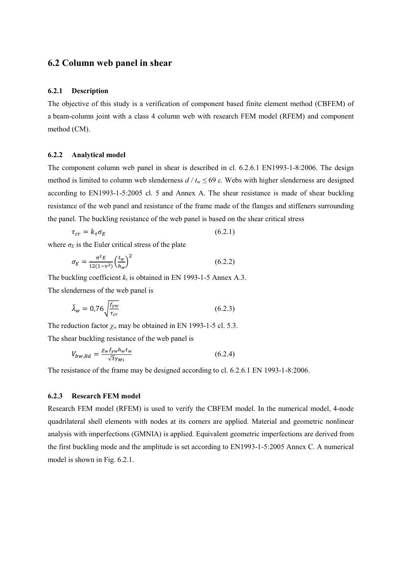# 6.2 Column web panel in shear

#### 6.2.1 Description

The objective of this study is a verification of component based finite element method (CBFEM) of a beam-column joint with a class 4 column web with research FEM model (RFEM) and component method (CM).

#### 6.2.2 Analytical model

The component column web panel in shear is described in cl. 6.2.6.1 EN1993-1-8:2006. The design method is limited to column web slenderness  $d / t_w \le 69 \varepsilon$ . Webs with higher slenderness are designed according to EN1993-1-5:2005 cl. 5 and Annex A. The shear resistance is made of shear buckling resistance of the web panel and resistance of the frame made of the flanges and stiffeners surrounding the panel. The buckling resistance of the web panel is based on the shear critical stress

$$
\tau_{cr} = k_{\tau} \sigma_E \tag{6.2.1}
$$

where  $\sigma_E$  is the Euler critical stress of the plate

$$
\sigma_E = \frac{\pi^2 E}{12(1 - v^2)} \left(\frac{t_w}{h_w}\right)^2 \tag{6.2.2}
$$

The buckling coefficient  $k<sub>t</sub>$  is obtained in EN 1993-1-5 Annex A.3. The slenderness of the web panel is

$$
\bar{\lambda}_w = 0.76 \sqrt{\frac{f_{yw}}{\tau_{cr}}} \tag{6.2.3}
$$

The reduction factor  $\chi_w$  may be obtained in EN 1993-1-5 cl. 5.3.

The shear buckling resistance of the web panel is

$$
V_{bw, Rd} = \frac{\chi_w f_{yw} h_w t_w}{\sqrt{3} \gamma_{M1}} \tag{6.2.4}
$$

The resistance of the frame may be designed according to cl. 6.2.6.1 EN 1993-1-8:2006.

### 6.2.3 Research FEM model

Research FEM model (RFEM) is used to verify the CBFEM model. In the numerical model, 4-node quadrilateral shell elements with nodes at its corners are applied. Material and geometric nonlinear analysis with imperfections (GMNIA) is applied. Equivalent geometric imperfections are derived from the first buckling mode and the amplitude is set according to EN1993-1-5:2005 Annex C. A numerical model is shown in Fig. 6.2.1.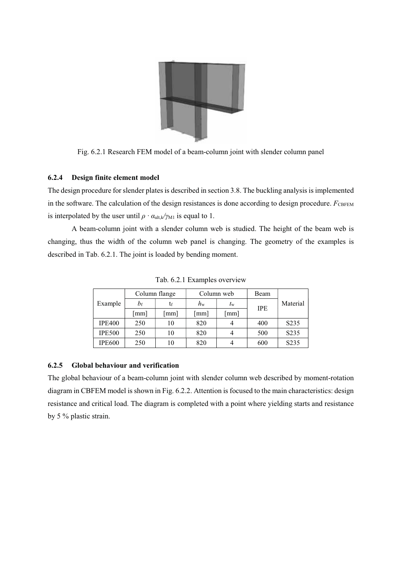

Fig. 6.2.1 Research FEM model of a beam-column joint with slender column panel

## 6.2.4 Design finite element model

The design procedure for slender plates is described in section 3.8. The buckling analysis is implemented in the software. The calculation of the design resistances is done according to design procedure.  $F_{\text{CBFEM}}$ is interpolated by the user until  $\rho \cdot \alpha_{ult,k}/\gamma_{M1}$  is equal to 1.

A beam-column joint with a slender column web is studied. The height of the beam web is changing, thus the width of the column web panel is changing. The geometry of the examples is described in Tab. 6.2.1. The joint is loaded by bending moment.

| Example       | Column flange |     |             | Column web  | Beam       |                   |  |
|---------------|---------------|-----|-------------|-------------|------------|-------------------|--|
|               | bf            | tr  | $h_{\rm w}$ | $t_{\rm w}$ | <b>IPE</b> | Material          |  |
|               | mm            | mm] | mm]         | mm]         |            |                   |  |
| <b>IPE400</b> | 250           | 10  | 820         |             | 400        | S <sub>2</sub> 35 |  |
| <b>IPE500</b> | 250           | 10  | 820         |             | 500        | S <sub>2</sub> 35 |  |
| <b>IPE600</b> | 250           | 10  | 820         |             | 600        | S <sub>2</sub> 35 |  |

Tab. 6.2.1 Examples overview

## 6.2.5 Global behaviour and verification

The global behaviour of a beam-column joint with slender column web described by moment-rotation diagram in CBFEM model is shown in Fig. 6.2.2. Attention is focused to the main characteristics: design resistance and critical load. The diagram is completed with a point where yielding starts and resistance by 5 % plastic strain.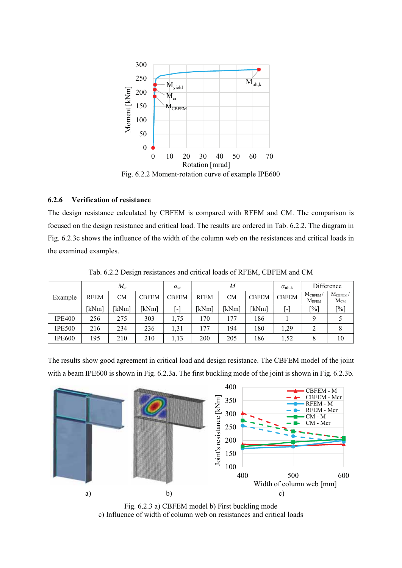

Fig. 6.2.2 Moment-rotation curve of example IPE600

## 6.2.6 Verification of resistance

The design resistance calculated by CBFEM is compared with RFEM and CM. The comparison is focused on the design resistance and critical load. The results are ordered in Tab. 6.2.2. The diagram in Fig. 6.2.3c shows the influence of the width of the column web on the resistances and critical loads in the examined examples.

|               | $M_{\rm cr}$ |           |              | $\alpha_{\rm cr}$ | M           |           |              | $\alpha_{ult,k}$ | Difference                    |                                 |
|---------------|--------------|-----------|--------------|-------------------|-------------|-----------|--------------|------------------|-------------------------------|---------------------------------|
| Example       | <b>RFEM</b>  | <b>CM</b> | <b>CBFEM</b> | <b>CBFEM</b>      | <b>RFEM</b> | <b>CM</b> | <b>CBFEM</b> | <b>CBFEM</b>     | $M_{\rm CBFEM}$<br>$M_{RFEM}$ | $M_{\text{CBFEM}}/$<br>$M_{CM}$ |
|               | [kNm]        | kNm]      | [kNm]        | $[\cdot]$         | [kNm]       | kNm]      | [kNm]        | $[\cdot]$        | $[\%]$                        | $[\%]$                          |
| <b>IPE400</b> | 256          | 275       | 303          | 1,75              | 170         | 177       | 186          |                  |                               |                                 |
| <b>IPE500</b> | 216          | 234       | 236          | 1,31              | 177         | 194       | 180          | 1.29             |                               | 8                               |
| <b>IPE600</b> | 195          | 210       | 210          | 1,13              | 200         | 205       | 186          | 1,52             | O<br>Ô                        | 10                              |

Tab. 6.2.2 Design resistances and critical loads of RFEM, CBFEM and CM

The results show good agreement in critical load and design resistance. The CBFEM model of the joint with a beam IPE600 is shown in Fig. 6.2.3a. The first buckling mode of the joint is shown in Fig. 6.2.3b.



Fig. 6.2.3 a) CBFEM model b) First buckling mode c) Influence of width of column web on resistances and critical loads